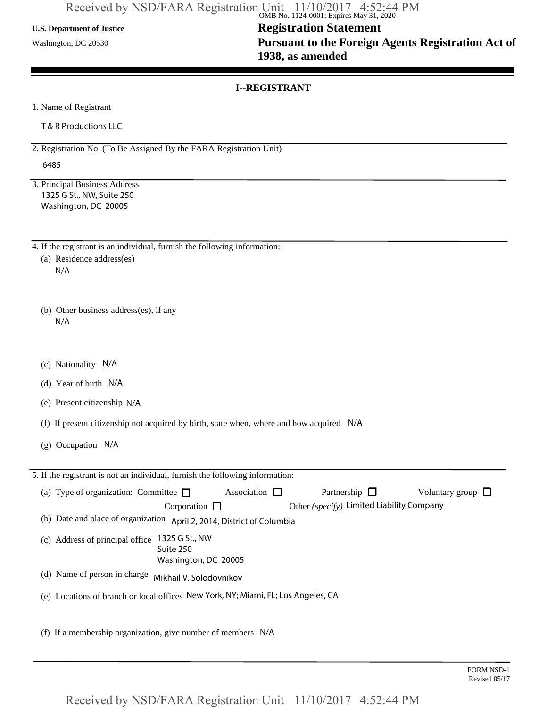### **U.S. Department of Justice**

Washington, DC 20530

## **Registration Statement Pursuant to the Foreign Agents Registration Act of 1938, as amended**

### **I--REGISTRANT**

1. Name of Registrant

T & R Productions LLC

2. Registration No. (To Be Assigned By the FARA Registration Unit)

6485

3. Principal Business Address 1325 G St., NW, Suite 250 Washington, DC 20005

4. If the registrant is an individual, furnish the following information:

- (a) Residence address(es) N/A
- (b) Other business address(es), if any N/A
- (c) Nationality N/A
- (d) Year of birth N/A
- (e) Present citizenship N/A
- (f) If present citizenship not acquired by birth, state when, where and how acquired N/A
- (g) Occupation N/A

5. If the registrant is not an individual, furnish the following information: (a) Type of organization: Committee  $\square$  Association  $\square$  Partnership  $\square$  Voluntary group  $\square$ Corporation  $\Box$  Other *(specify)* Limited Liability Company (b) Date and place of organization April 2, 2014, District of Columbia (c) Address of principal office 1325 G St., NW (d) Name of person in charge Mikhail V. Solodovnikov (e) Locations of branch or local offices New York, NY; Miami, FL; Los Angeles, CA Suite 250 Washington, DC 20005

(f) If a membership organization, give number of members N/A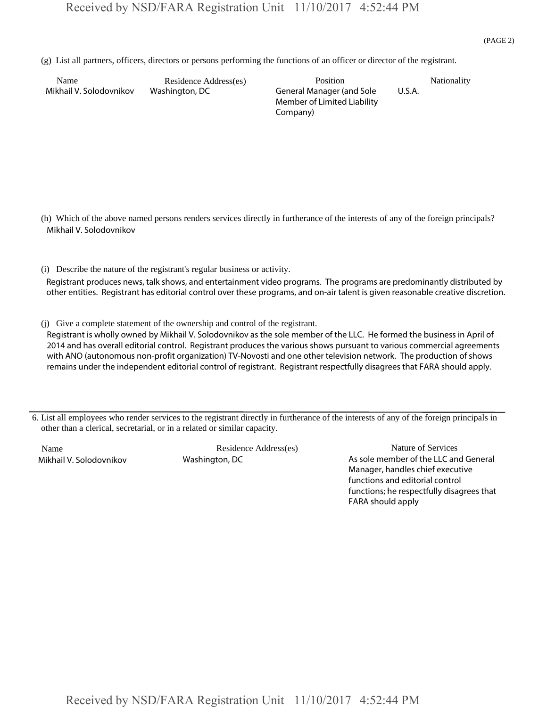(g) List all partners, officers, directors or persons performing the functions of an officer or director of the registrant.

| Name                    | Residence Address(es) | <b>Position</b>             |        | <b>Nationality</b> |
|-------------------------|-----------------------|-----------------------------|--------|--------------------|
| Mikhail V. Solodovnikov | Washington, DC        | General Manager (and Sole   | U.S.A. |                    |
|                         |                       | Member of Limited Liability |        |                    |
|                         |                       | Company)                    |        |                    |

 (h) Which of the above named persons renders services directly in furtherance of the interests of any of the foreign principals? Mikhail V. Solodovnikov

 (i) Describe the nature of the registrant's regular business or activity. Registrant produces news, talk shows, and entertainment video programs. The programs are predominantly distributed by other entities. Registrant has editorial control over these programs, and on-air talent is given reasonable creative discretion.

 (j) Give a complete statement of the ownership and control of the registrant. Registrant is wholly owned by Mikhail V. Solodovnikov as the sole member of the LLC. He formed the business in April of

2014 and has overall editorial control. Registrant produces the various shows pursuant to various commercial agreements with ANO (autonomous non-profit organization) TV-Novosti and one other television network. The production of shows remains under the independent editorial control of registrant. Registrant respectfully disagrees that FARA should apply.

6. List all employees who render services to the registrant directly in furtherance of the interests of any of the foreign principals in other than a clerical, secretarial, or in a related or similar capacity.

Mikhail V. Solodovnikov Washington, DC

Name Residence Address(es) Nature of Services As sole member of the LLC and General Manager, handles chief executive functions and editorial control functions; he respectfully disagrees that FARA should apply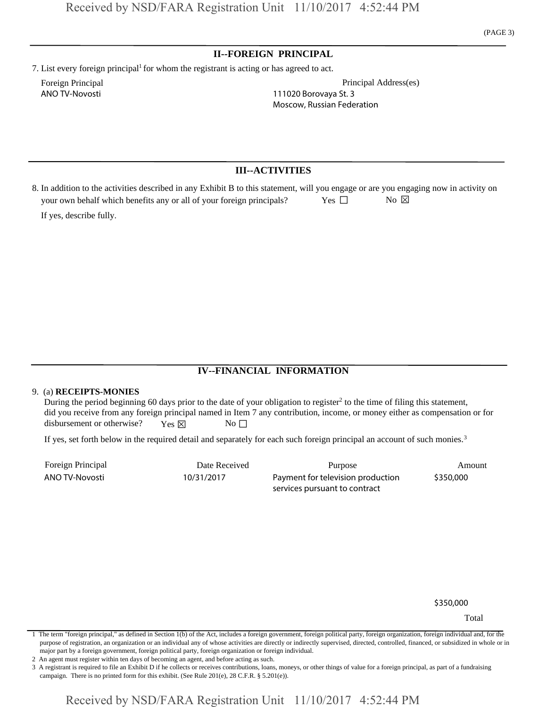### **II--FOREIGN PRINCIPAL**

7. List every foreign principal<sup>1</sup> for whom the registrant is acting or has agreed to act.

ANO TV-Novosti

Foreign Principal Principal Address(es)

111020 Borovaya St. 3 Moscow, Russian Federation

### **III--ACTIVITIES**

| 8. In addition to the activities described in any Exhibit B to this statement, will you engage or are you engaging now in activity on |         |                               |  |
|---------------------------------------------------------------------------------------------------------------------------------------|---------|-------------------------------|--|
| your own behalf which benefits any or all of your foreign principals?                                                                 | Yes 1 1 | $\overline{N}$ $\overline{N}$ |  |
| If yes, describe fully.                                                                                                               |         |                               |  |

### **IV--FINANCIAL INFORMATION**

#### 9. (a) **RECEIPTS-MONIES**

During the period beginning 60 days prior to the date of your obligation to register<sup>2</sup> to the time of filing this statement, did you receive from any foreign principal named in Item 7 any contribution, income, or money either as compensation or for disbursement or otherwise? Yes  $\times$  No  $\Box$ 

If yes, set forth below in the required detail and separately for each such foreign principal an account of such monies.<sup>3</sup>

ANO TV-Novosti 10/31/2017

Date Received

Foreign Principal **Purpose** Amount **Purpose** Amount **Purpose** Amount Payment for television production \$350,000 services pursuant to contract

\$350,000

Total

2 An agent must register within ten days of becoming an agent, and before acting as such.

3 A registrant is required to file an Exhibit D if he collects or receives contributions, loans, moneys, or other things of value for a foreign principal, as part of a fundraising campaign. There is no printed form for this exhibit. (See Rule 201(e), 28 C.F.R. § 5.201(e)).

<sup>1</sup> The term "foreign principal," as defined in Section 1(b) of the Act, includes a foreign government, foreign political party, foreign organization, foreign individual and, for the purpose of registration, an organization or an individual any of whose activities are directly or indirectly supervised, directed, controlled, financed, or subsidized in whole or in major part by a foreign government, foreign political party, foreign organization or foreign individual.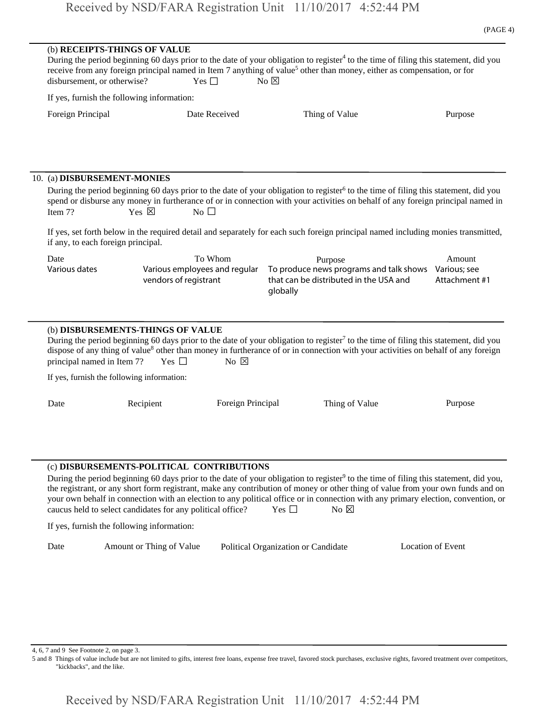| (b) RECEIPTS-THINGS OF VALUE<br>During the period beginning 60 days prior to the date of your obligation to register <sup>4</sup> to the time of filing this statement, did you<br>receive from any foreign principal named in Item 7 anything of value <sup>5</sup> other than money, either as compensation, or for<br>disbursement, or otherwise?<br>Yes $\Box$<br>No $\boxtimes$ |                                                        |                    |                                                                                                                                                                                                                                                                                                 |  |                         |
|--------------------------------------------------------------------------------------------------------------------------------------------------------------------------------------------------------------------------------------------------------------------------------------------------------------------------------------------------------------------------------------|--------------------------------------------------------|--------------------|-------------------------------------------------------------------------------------------------------------------------------------------------------------------------------------------------------------------------------------------------------------------------------------------------|--|-------------------------|
| If yes, furnish the following information:                                                                                                                                                                                                                                                                                                                                           |                                                        |                    |                                                                                                                                                                                                                                                                                                 |  |                         |
| Foreign Principal                                                                                                                                                                                                                                                                                                                                                                    |                                                        | Date Received      | Thing of Value                                                                                                                                                                                                                                                                                  |  | Purpose                 |
|                                                                                                                                                                                                                                                                                                                                                                                      |                                                        |                    |                                                                                                                                                                                                                                                                                                 |  |                         |
|                                                                                                                                                                                                                                                                                                                                                                                      |                                                        |                    |                                                                                                                                                                                                                                                                                                 |  |                         |
|                                                                                                                                                                                                                                                                                                                                                                                      |                                                        |                    |                                                                                                                                                                                                                                                                                                 |  |                         |
| 10. (a) DISBURSEMENT-MONIES                                                                                                                                                                                                                                                                                                                                                          |                                                        |                    |                                                                                                                                                                                                                                                                                                 |  |                         |
| During the period beginning 60 days prior to the date of your obligation to register <sup>6</sup> to the time of filing this statement, did you<br>spend or disburse any money in furtherance of or in connection with your activities on behalf of any foreign principal named in<br>Item 7?<br>Yes <b>⊠</b><br>No $\square$                                                        |                                                        |                    |                                                                                                                                                                                                                                                                                                 |  |                         |
| If yes, set forth below in the required detail and separately for each such foreign principal named including monies transmitted,<br>if any, to each foreign principal.                                                                                                                                                                                                              |                                                        |                    |                                                                                                                                                                                                                                                                                                 |  |                         |
| Date<br>Various dates                                                                                                                                                                                                                                                                                                                                                                | Various employees and regular<br>vendors of registrant | To Whom            | Purpose<br>To produce news programs and talk shows Various; see<br>that can be distributed in the USA and                                                                                                                                                                                       |  | Amount<br>Attachment #1 |
|                                                                                                                                                                                                                                                                                                                                                                                      |                                                        |                    | globally                                                                                                                                                                                                                                                                                        |  |                         |
|                                                                                                                                                                                                                                                                                                                                                                                      |                                                        |                    |                                                                                                                                                                                                                                                                                                 |  |                         |
| (b) DISBURSEMENTS-THINGS OF VALUE<br>principal named in Item 7?                                                                                                                                                                                                                                                                                                                      | Yes $\square$                                          | $No \nvert \nabla$ | During the period beginning 60 days prior to the date of your obligation to register <sup>7</sup> to the time of filing this statement, did you<br>dispose of any thing of value <sup>8</sup> other than money in furtherance of or in connection with your activities on behalf of any foreign |  |                         |
| If yes, furnish the following information:                                                                                                                                                                                                                                                                                                                                           |                                                        |                    |                                                                                                                                                                                                                                                                                                 |  |                         |
| Date                                                                                                                                                                                                                                                                                                                                                                                 | Recipient                                              | Foreign Principal  | Thing of Value                                                                                                                                                                                                                                                                                  |  | Purpose                 |

### (c) **DISBURSEMENTS-POLITICAL CONTRIBUTIONS**

During the period beginning 60 days prior to the date of your obligation to register<sup>9</sup> to the time of filing this statement, did you, the registrant, or any short form registrant, make any contribution of money or other thing of value from your own funds and on your own behalf in connection with an election to any political office or in connection with any primary election, convention, or caucus held to select candidates for any political office? Yes  $\square$  No  $\boxtimes$ 

If yes, furnish the following information:

| Date | Amount or Thing of Value | Political Organization or Candidate | <b>Location of Event</b> |
|------|--------------------------|-------------------------------------|--------------------------|
|------|--------------------------|-------------------------------------|--------------------------|

4, 6, 7 and 9 See Footnote 2, on page 3.

5 and 8 Things of value include but are not limited to gifts, interest free loans, expense free travel, favored stock purchases, exclusive rights, favored treatment over competitors, "kickbacks", and the like.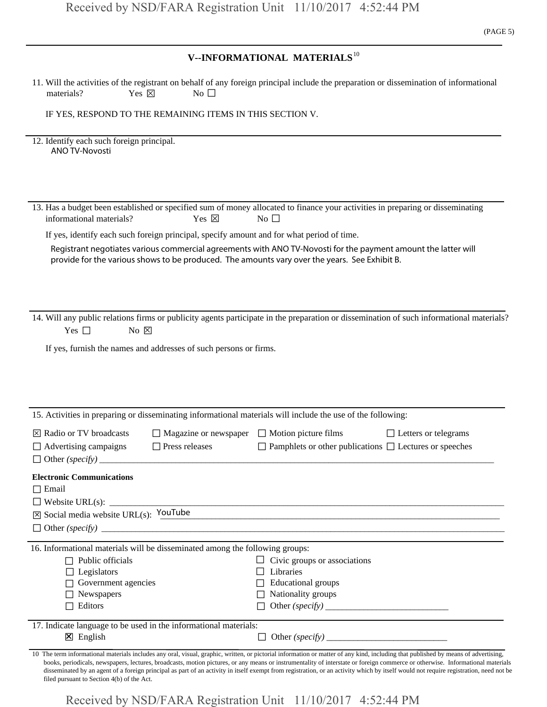# **V--INFORMATIONAL MATERIALS**<sup>10</sup>

| materials?<br>Yes $\boxtimes$                                                                                                                                                                      | $\overline{N_{0}}$ $\Box$                                                         | 11. Will the activities of the registrant on behalf of any foreign principal include the preparation or dissemination of informational                                                                                                                                                                                                                               |
|----------------------------------------------------------------------------------------------------------------------------------------------------------------------------------------------------|-----------------------------------------------------------------------------------|----------------------------------------------------------------------------------------------------------------------------------------------------------------------------------------------------------------------------------------------------------------------------------------------------------------------------------------------------------------------|
|                                                                                                                                                                                                    | IF YES, RESPOND TO THE REMAINING ITEMS IN THIS SECTION V.                         |                                                                                                                                                                                                                                                                                                                                                                      |
| 12. Identify each such foreign principal.<br><b>ANO TV-Novosti</b>                                                                                                                                 |                                                                                   |                                                                                                                                                                                                                                                                                                                                                                      |
| informational materials?                                                                                                                                                                           | Yes $\boxtimes$                                                                   | 13. Has a budget been established or specified sum of money allocated to finance your activities in preparing or disseminating<br>No $\square$<br>If yes, identify each such foreign principal, specify amount and for what period of time.                                                                                                                          |
|                                                                                                                                                                                                    |                                                                                   | Registrant negotiates various commercial agreements with ANO TV-Novosti for the payment amount the latter will<br>provide for the various shows to be produced. The amounts vary over the years. See Exhibit B.                                                                                                                                                      |
| No $\boxtimes$<br>Yes $\Box$                                                                                                                                                                       | If yes, furnish the names and addresses of such persons or firms.                 | 14. Will any public relations firms or publicity agents participate in the preparation or dissemination of such informational materials?                                                                                                                                                                                                                             |
|                                                                                                                                                                                                    |                                                                                   | 15. Activities in preparing or disseminating informational materials will include the use of the following:                                                                                                                                                                                                                                                          |
| $\boxtimes$ Radio or TV broadcasts<br>$\Box$ Advertising campaigns<br>$\Box$ Other (specify) $\Box$                                                                                                | $\Box$ Magazine or newspaper $\Box$ Motion picture films<br>$\Box$ Press releases | $\Box$ Letters or telegrams<br>$\Box$ Pamphlets or other publications $\Box$ Lectures or speeches                                                                                                                                                                                                                                                                    |
| <b>Electronic Communications</b><br>$\Box$ Email<br>$\boxtimes$ Social media website URL(s): YouTube                                                                                               |                                                                                   |                                                                                                                                                                                                                                                                                                                                                                      |
| 16. Informational materials will be disseminated among the following groups:<br>$\Box$ Public officials<br>$\Box$ Legislators<br>$\Box$ Government agencies<br>$\Box$ Newspapers<br>$\Box$ Editors |                                                                                   | $\Box$ Civic groups or associations<br>Libraries<br>$\Box$ Educational groups<br>$\Box$ Nationality groups                                                                                                                                                                                                                                                           |
| 17. Indicate language to be used in the informational materials:<br>$\boxtimes$ English                                                                                                            |                                                                                   | 10 The term informational materials includes any oral, visual, graphic, written, or pictorial information or matter of any kind, including that published by means of advertising,<br>books, periodicals, newspapers, lectures, broadcasts, motion pictures, or any means or instrumentality of interstate or foreign commerce or otherwise. Informational materials |
| filed pursuant to Section 4(b) of the Act.                                                                                                                                                         |                                                                                   | disseminated by an agent of a foreign principal as part of an activity in itself exempt from registration, or an activity which by itself would not require registration, need not be                                                                                                                                                                                |

Received by NSD/FARA Registration Unit 11/10/2017 4:52:44 PM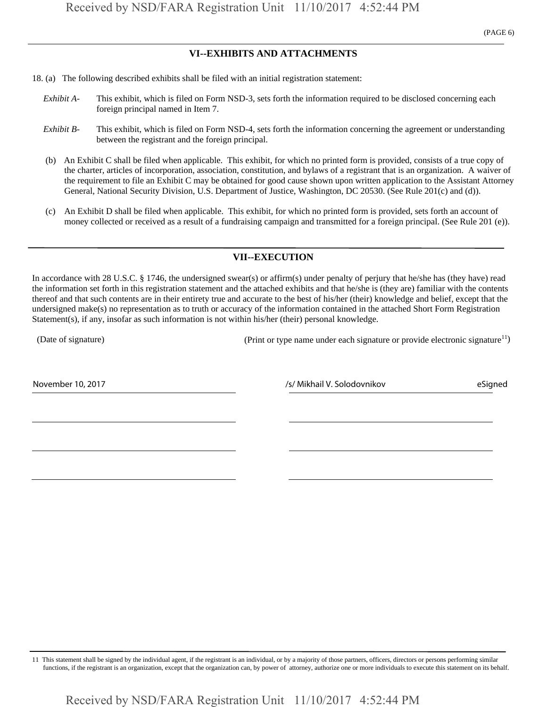### **VI--EXHIBITS AND ATTACHMENTS**

- 18. (a) The following described exhibits shall be filed with an initial registration statement:
	- *Exhibit A-* This exhibit, which is filed on Form NSD-3, sets forth the information required to be disclosed concerning each foreign principal named in Item 7.
	- *Exhibit B-* This exhibit, which is filed on Form NSD-4, sets forth the information concerning the agreement or understanding between the registrant and the foreign principal.
	- (b) An Exhibit C shall be filed when applicable. This exhibit, for which no printed form is provided, consists of a true copy of the charter, articles of incorporation, association, constitution, and bylaws of a registrant that is an organization. A waiver of the requirement to file an Exhibit C may be obtained for good cause shown upon written application to the Assistant Attorney General, National Security Division, U.S. Department of Justice, Washington, DC 20530. (See Rule 201(c) and (d)).
	- (c) An Exhibit D shall be filed when applicable. This exhibit, for which no printed form is provided, sets forth an account of money collected or received as a result of a fundraising campaign and transmitted for a foreign principal. (See Rule 201 (e)).

### **VII--EXECUTION**

In accordance with 28 U.S.C. § 1746, the undersigned swear(s) or affirm(s) under penalty of perjury that he/she has (they have) read the information set forth in this registration statement and the attached exhibits and that he/she is (they are) familiar with the contents thereof and that such contents are in their entirety true and accurate to the best of his/her (their) knowledge and belief, except that the undersigned make(s) no representation as to truth or accuracy of the information contained in the attached Short Form Registration Statement(s), if any, insofar as such information is not within his/her (their) personal knowledge.

(Date of signature) (Print or type name under each signature or provide electronic signature<sup>11</sup>)

November 10, 2017 *November 10, 2017 is the structure of the structure of the structure of the structure of the structure of the structure of the structure of the structure of the structure of the structure of the stru* 

11 This statement shall be signed by the individual agent, if the registrant is an individual, or by a majority of those partners, officers, directors or persons performing similar functions, if the registrant is an organization, except that the organization can, by power of attorney, authorize one or more individuals to execute this statement on its behalf.